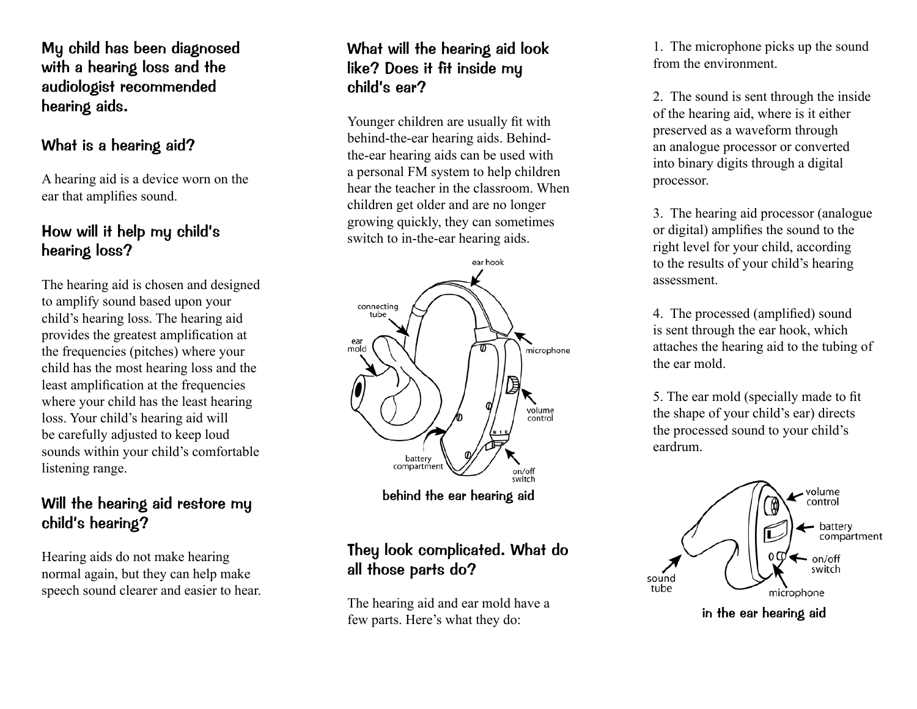My child has been diagnosed with a hearing loss and the audiologist recommended hearing aids.

#### What is a hearing aid?

A hearing aid is a device worn on the ear that amplifies sound.

### How will it help my child's hearing loss?

The hearing aid is chosen and designed to amplify sound based upon your child's hearing loss. The hearing aid provides the greatest amplification at the frequencies (pitches) where your child has the most hearing loss and the least amplification at the frequencies where your child has the least hearing loss. Your child's hearing aid will be carefully adjusted to keep loud sounds within your child's comfortable listening range.

## Will the hearing aid restore my child's hearing?

Hearing aids do not make hearing normal again, but they can help make speech sound clearer and easier to hear.

### What will the hearing aid look like? Does it fit inside my child's ear?

Younger children are usually fit with behind-the-ear hearing aids. Behindthe-ear hearing aids can be used with a personal FM system to help children hear the teacher in the classroom. When children get older and are no longer growing quickly, they can sometimes switch to in-the-ear hearing aids.



behind the ear hearing aid

## They look complicated. What do all those parts do?

The hearing aid and ear mold have a few parts. Here's what they do:

1. The microphone picks up the sound from the environment.

2. The sound is sent through the inside of the hearing aid, where is it either preserved as a waveform through an analogue processor or converted into binary digits through a digital processor.

3. The hearing aid processor (analogue or digital) amplifies the sound to the right level for your child, according to the results of your child's hearing assessment.

4. The processed (amplified) sound is sent through the ear hook, which attaches the hearing aid to the tubing of the ear mold.

5. The ear mold (specially made to fit the shape of your child's ear) directs the processed sound to your child's eardrum.